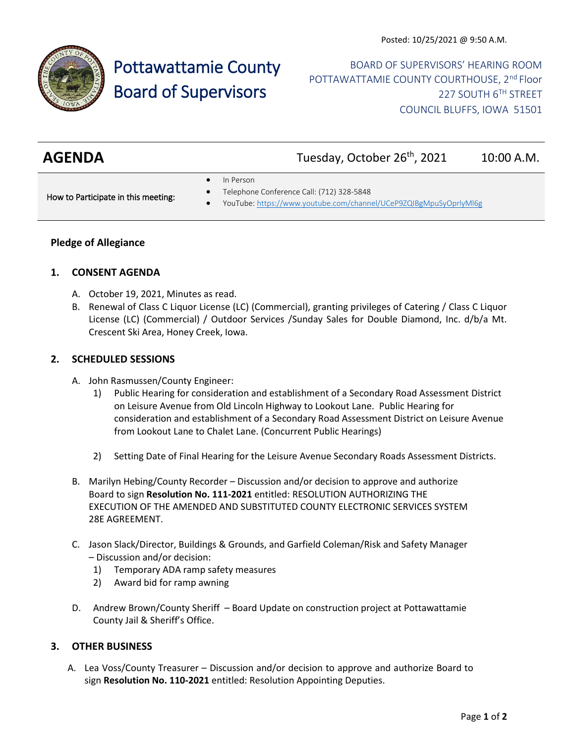

# Pottawattamie County Board of Supervisors

BOARD OF SUPERVISORS' HEARING ROOM POTTAWATTAMIE COUNTY COURTHOUSE, 2<sup>nd</sup> Floor 227 SOUTH 6TH STREET COUNCIL BLUFFS, IOWA 51501

| <b>AGENDA</b> | Tuesday, October 26 <sup>th</sup> , 2021 | 10:00 A.M. |
|---------------|------------------------------------------|------------|

In Person

How to Participate in this meeting:

- Telephone Conference Call: (712) 328-5848
- YouTube[: https://www.youtube.com/channel/UCeP9ZQIBgMpuSyOprlyMl6g](https://www.youtube.com/channel/UCeP9ZQIBgMpuSyOprlyMl6g)

# **Pledge of Allegiance**

#### **1. CONSENT AGENDA**

- A. October 19, 2021, Minutes as read.
- B. Renewal of Class C Liquor License (LC) (Commercial), granting privileges of Catering / Class C Liquor License (LC) (Commercial) / Outdoor Services /Sunday Sales for Double Diamond, Inc. d/b/a Mt. Crescent Ski Area, Honey Creek, Iowa.

### **2. SCHEDULED SESSIONS**

- A. John Rasmussen/County Engineer:
	- 1) Public Hearing for consideration and establishment of a Secondary Road Assessment District on Leisure Avenue from Old Lincoln Highway to Lookout Lane. Public Hearing for consideration and establishment of a Secondary Road Assessment District on Leisure Avenue from Lookout Lane to Chalet Lane. (Concurrent Public Hearings)
	- 2) Setting Date of Final Hearing for the Leisure Avenue Secondary Roads Assessment Districts.
- B. Marilyn Hebing/County Recorder Discussion and/or decision to approve and authorize Board to sign **Resolution No. 111-2021** entitled: RESOLUTION AUTHORIZING THE EXECUTION OF THE AMENDED AND SUBSTITUTED COUNTY ELECTRONIC SERVICES SYSTEM 28E AGREEMENT.
- C. Jason Slack/Director, Buildings & Grounds, and Garfield Coleman/Risk and Safety Manager – Discussion and/or decision:
	- 1) Temporary ADA ramp safety measures
	- 2) Award bid for ramp awning
- D. Andrew Brown/County Sheriff Board Update on construction project at Pottawattamie County Jail & Sheriff's Office.

# **3. OTHER BUSINESS**

A. Lea Voss/County Treasurer – Discussion and/or decision to approve and authorize Board to sign **Resolution No. 110-2021** entitled: Resolution Appointing Deputies.